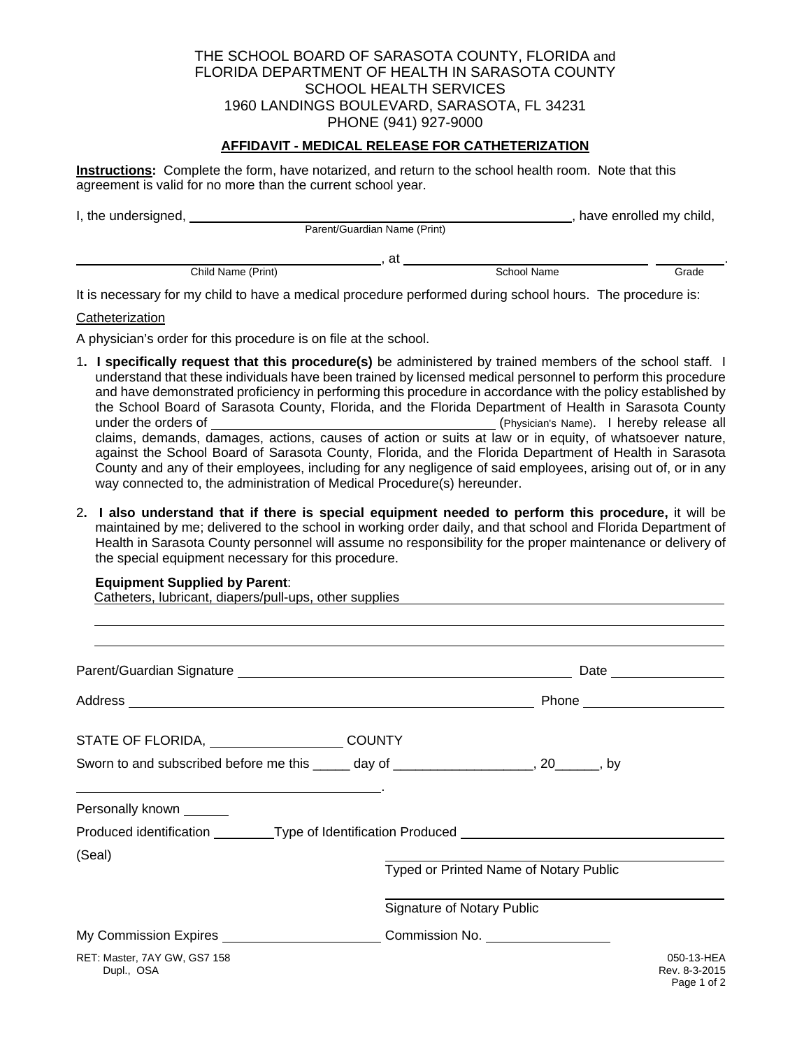### THE SCHOOL BOARD OF SARASOTA COUNTY, FLORIDA and FLORIDA DEPARTMENT OF HEALTH IN SARASOTA COUNTY SCHOOL HEALTH SERVICES 1960 LANDINGS BOULEVARD, SARASOTA, FL 34231 PHONE (941) 927-9000

### **AFFIDAVIT - MEDICAL RELEASE FOR CATHETERIZATION**

**Instructions:** Complete the form, have notarized, and return to the school health room. Note that this agreement is valid for no more than the current school year.

| I, the undersigned, |                    |                              | have enrolled my child, |       |
|---------------------|--------------------|------------------------------|-------------------------|-------|
|                     |                    | Parent/Guardian Name (Print) |                         |       |
|                     |                    | at                           |                         |       |
|                     | Child Name (Print) |                              | School Name             | Grade |

It is necessary for my child to have a medical procedure performed during school hours. The procedure is:

#### **Catheterization**

A physician's order for this procedure is on file at the school.

- 1**. I specifically request that this procedure(s)** be administered by trained members of the school staff. I understand that these individuals have been trained by licensed medical personnel to perform this procedure and have demonstrated proficiency in performing this procedure in accordance with the policy established by the School Board of Sarasota County, Florida, and the Florida Department of Health in Sarasota County under the orders of (Physician's Name). I hereby release all claims, demands, damages, actions, causes of action or suits at law or in equity, of whatsoever nature, against the School Board of Sarasota County, Florida, and the Florida Department of Health in Sarasota County and any of their employees, including for any negligence of said employees, arising out of, or in any way connected to, the administration of Medical Procedure(s) hereunder.
- 2**. I also understand that if there is special equipment needed to perform this procedure,** it will be maintained by me; delivered to the school in working order daily, and that school and Florida Department of Health in Sarasota County personnel will assume no responsibility for the proper maintenance or delivery of the special equipment necessary for this procedure.

#### **Equipment Supplied by Parent**:

Catheters, lubricant, diapers/pull-ups, other supplies

| STATE OF FLORIDA, COUNTY                                                                                                   |                                   |                                        |                                            |
|----------------------------------------------------------------------------------------------------------------------------|-----------------------------------|----------------------------------------|--------------------------------------------|
| Sworn to and subscribed before me this ______ day of ______________________, 20_______, by                                 |                                   |                                        |                                            |
| the contract of the contract of the contract of the contract of the contract of the contract of<br>Personally known ______ |                                   |                                        |                                            |
| Produced identification _________Type of Identification Produced ________________                                          |                                   |                                        |                                            |
| (Seal)                                                                                                                     |                                   | Typed or Printed Name of Notary Public |                                            |
|                                                                                                                            | <b>Signature of Notary Public</b> |                                        |                                            |
| My Commission Expires _____________________________Commission No. ______________                                           |                                   |                                        |                                            |
| RET: Master, 7AY GW, GS7 158<br>Dupl., OSA                                                                                 |                                   |                                        | 050-13-HEA<br>Rev. 8-3-2015<br>Page 1 of 2 |